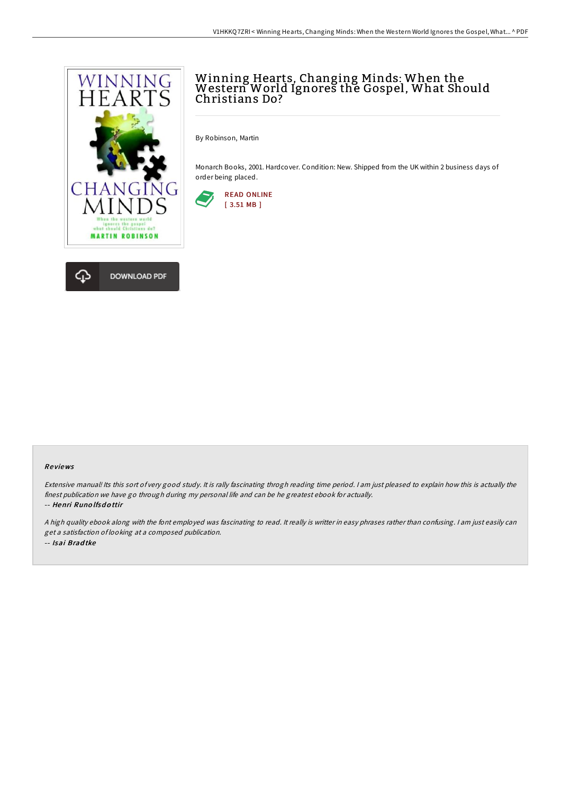

# Winning Hearts, Changing Minds: When the Western World Ignores the Gospel, What Should Christians Do?

By Robinson, Martin

Monarch Books, 2001. Hardcover. Condition: New. Shipped from the UK within 2 business days of order being placed.



### Re views

Extensive manual! Its this sort of very good study. It is rally fascinating throgh reading time period. <sup>I</sup> am just pleased to explain how this is actually the finest publication we have go through during my personal life and can be he greatest ebook for actually. -- Henri Runo lfsd <sup>o</sup> ttir

<sup>A</sup> high quality ebook along with the font employed was fascinating to read. It really is writter in easy phrases rather than confusing. <sup>I</sup> am just easily can get <sup>a</sup> satisfaction of looking at <sup>a</sup> composed publication. -- Isai Brad tke